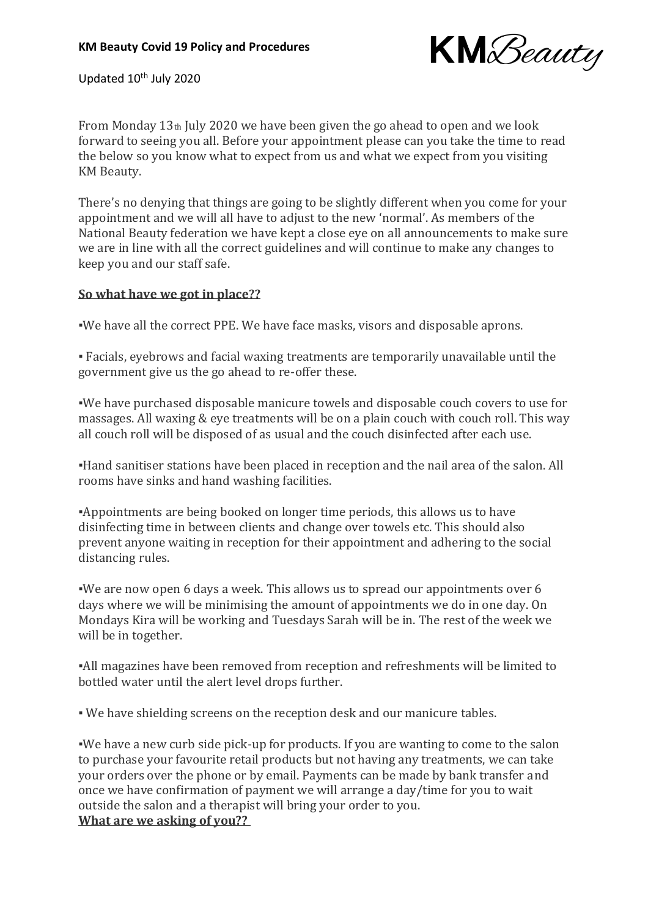

Updated 10<sup>th</sup> July 2020

From Monday 13th July 2020 we have been given the go ahead to open and we look forward to seeing you all. Before your appointment please can you take the time to read the below so you know what to expect from us and what we expect from you visiting KM Beauty.

There's no denying that things are going to be slightly different when you come for your appointment and we will all have to adjust to the new 'normal'. As members of the National Beauty federation we have kept a close eye on all announcements to make sure we are in line with all the correct guidelines and will continue to make any changes to keep you and our staff safe.

## **So what have we got in place??**

▪️We have all the correct PPE. We have face masks, visors and disposable aprons.

▪️ Facials, eyebrows and facial waxing treatments are temporarily unavailable until the government give us the go ahead to re-offer these.

▪️We have purchased disposable manicure towels and disposable couch covers to use for massages. All waxing & eye treatments will be on a plain couch with couch roll. This way all couch roll will be disposed of as usual and the couch disinfected after each use.

▪️Hand sanitiser stations have been placed in reception and the nail area of the salon. All rooms have sinks and hand washing facilities.

▪️Appointments are being booked on longer time periods, this allows us to have disinfecting time in between clients and change over towels etc. This should also prevent anyone waiting in reception for their appointment and adhering to the social distancing rules.

▪️We are now open 6 days a week. This allows us to spread our appointments over 6 days where we will be minimising the amount of appointments we do in one day. On Mondays Kira will be working and Tuesdays Sarah will be in. The rest of the week we will be in together.

▪️All magazines have been removed from reception and refreshments will be limited to bottled water until the alert level drops further.

▪️ We have shielding screens on the reception desk and our manicure tables.

▪️We have a new curb side pick-up for products. If you are wanting to come to the salon to purchase your favourite retail products but not having any treatments, we can take your orders over the phone or by email. Payments can be made by bank transfer and once we have confirmation of payment we will arrange a day/time for you to wait outside the salon and a therapist will bring your order to you. **What are we asking of you??**